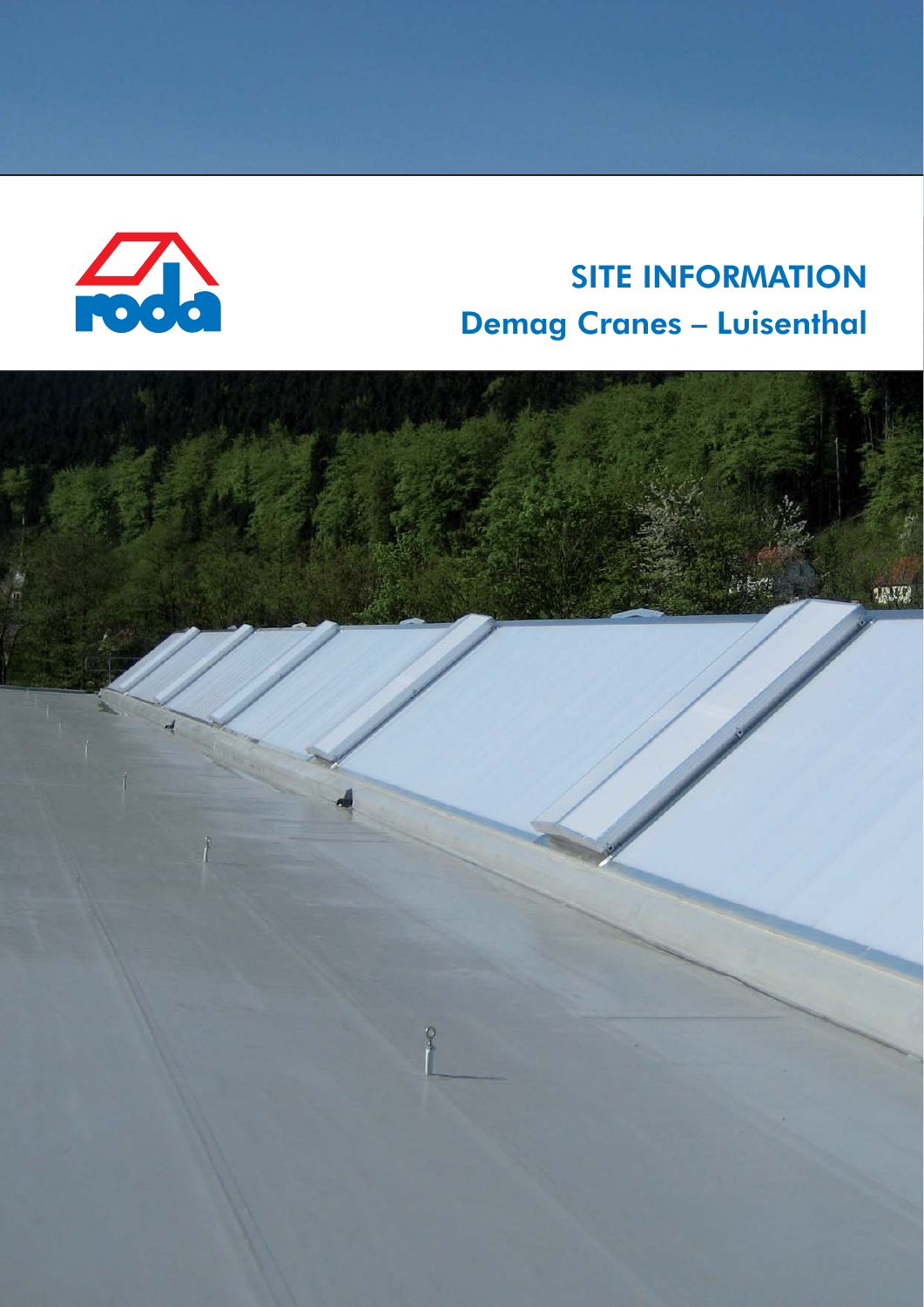

## **SITE INFORMATION Demag Cranes - Luisenthal**

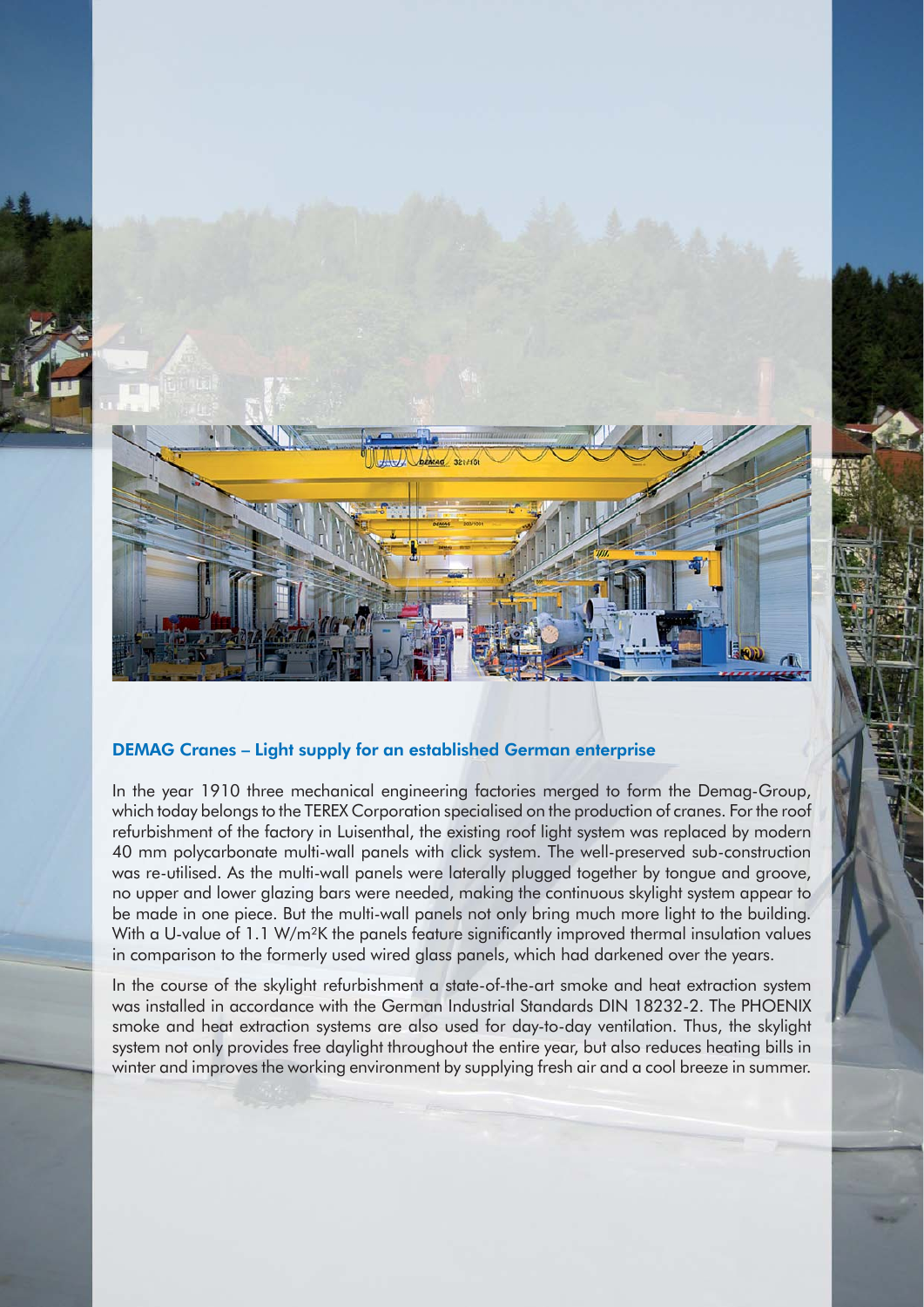

## DEMAG Cranes – Light supply for an established German enterprise

In the year 1910 three mechanical engineering factories merged to form the Demag-Group, which today belongs to the TEREX Corporation specialised on the production of cranes. For the roof refurbishment of the factory in Luisenthal, the existing roof light system was replaced by modern 40 mm polycarbonate multi-wall panels with click system. The well-preserved sub-construction was re-utilised. As the multi-wall panels were laterally plugged together by tongue and groove, no upper and lower glazing bars were needed, making the continuous skylight system appear to be made in one piece. But the multi-wall panels not only bring much more light to the building. With a U-value of 1.1 W/m<sup>2</sup>K the panels feature significantly improved thermal insulation values in comparison to the formerly used wired glass panels, which had darkened over the years.

In the course of the skylight refurbishment a state-of-the-art smoke and heat extraction system was installed in accordance with the German Industrial Standards DIN 18232-2. The PHOENIX smoke and heat extraction systems are also used for day-to-day ventilation. Thus, the skylight system not only provides free daylight throughout the entire year, but also reduces heating bills in winter and improves the working environment by supplying fresh air and a cool breeze in summer.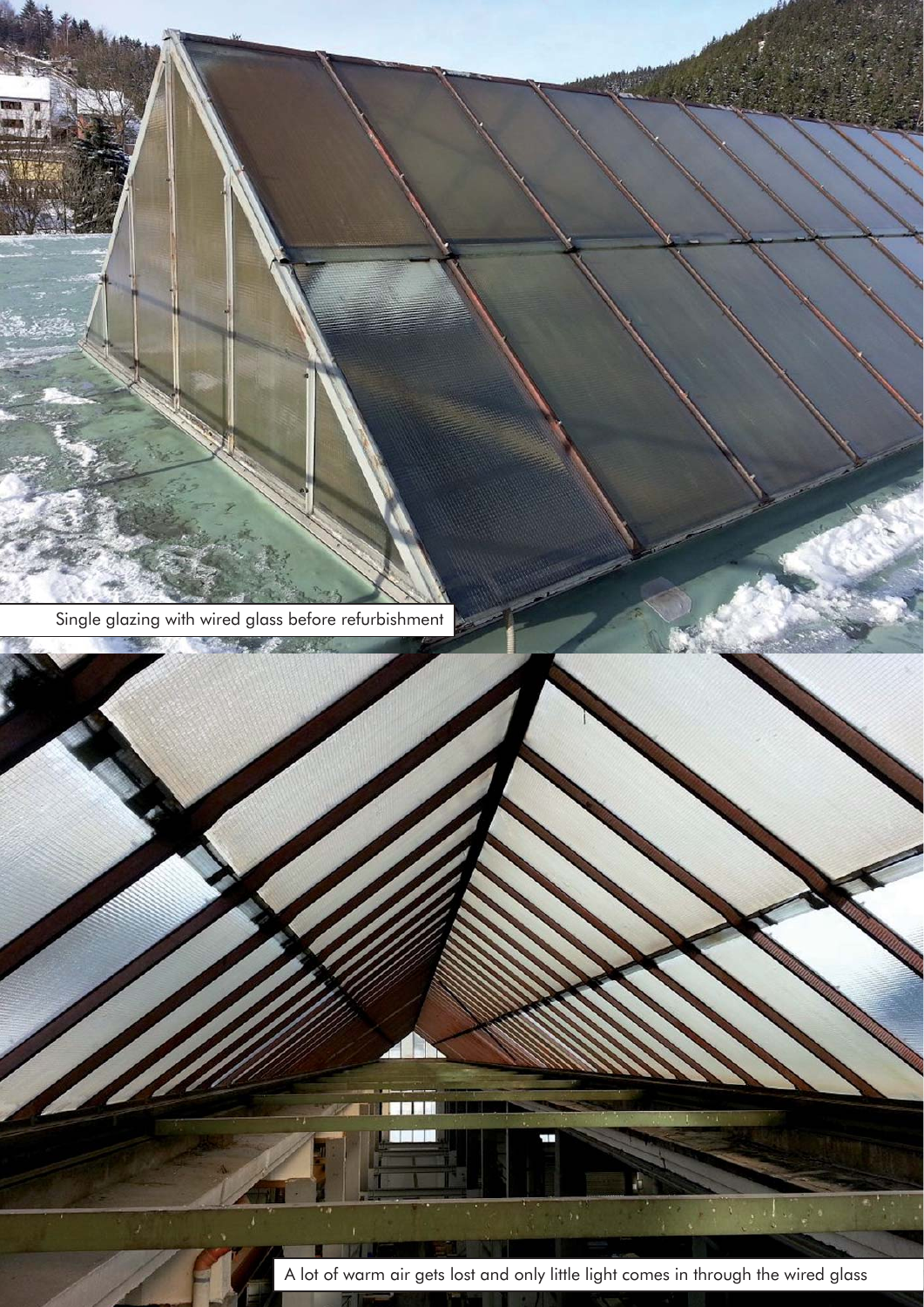![](_page_2_Picture_0.jpeg)